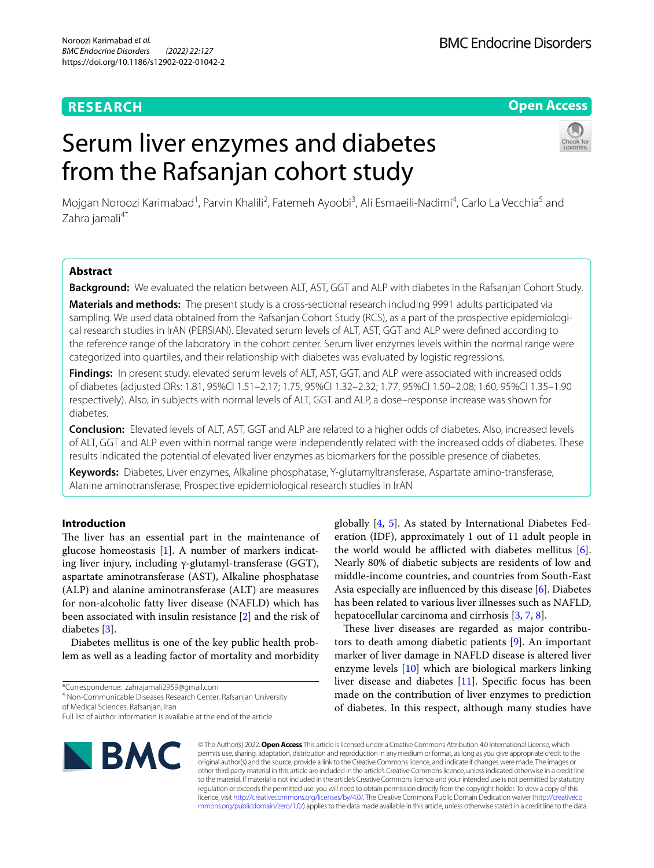# **RESEARCH**

# **Open Access**

# Serum liver enzymes and diabetes from the Rafsanjan cohort study



Mojgan Noroozi Karimabad<sup>1</sup>, Parvin Khalili<sup>2</sup>, Fatemeh Ayoobi<sup>3</sup>, Ali Esmaeili-Nadimi<sup>4</sup>, Carlo La Vecchia<sup>5</sup> and Zahra jamali<sup>4\*</sup>

# **Abstract**

**Background:** We evaluated the relation between ALT, AST, GGT and ALP with diabetes in the Rafsanjan Cohort Study.

**Materials and methods:** The present study is a cross-sectional research including 9991 adults participated via sampling. We used data obtained from the Rafsanjan Cohort Study (RCS), as a part of the prospective epidemiological research studies in IrAN (PERSIAN). Elevated serum levels of ALT, AST, GGT and ALP were defned according to the reference range of the laboratory in the cohort center. Serum liver enzymes levels within the normal range were categorized into quartiles, and their relationship with diabetes was evaluated by logistic regressions.

**Findings:** In present study, elevated serum levels of ALT, AST, GGT, and ALP were associated with increased odds of diabetes (adjusted ORs: 1.81, 95%CI 1.51–2.17; 1.75, 95%CI 1.32–2.32; 1.77, 95%CI 1.50–2.08; 1.60, 95%CI 1.35–1.90 respectively). Also, in subjects with normal levels of ALT, GGT and ALP, a dose–response increase was shown for diabetes.

**Conclusion:** Elevated levels of ALT, AST, GGT and ALP are related to a higher odds of diabetes. Also, increased levels of ALT, GGT and ALP even within normal range were independently related with the increased odds of diabetes. These results indicated the potential of elevated liver enzymes as biomarkers for the possible presence of diabetes.

**Keywords:** Diabetes, Liver enzymes, Alkaline phosphatase, Y-glutamyltransferase, Aspartate amino-transferase, Alanine aminotransferase, Prospective epidemiological research studies in IrAN

# **Introduction**

The liver has an essential part in the maintenance of glucose homeostasis [[1\]](#page-9-0). A number of markers indicating liver injury, including γ-glutamyl-transferase (GGT), aspartate aminotransferase (AST), Alkaline phosphatase (ALP) and alanine aminotransferase (ALT) are measures for non-alcoholic fatty liver disease (NAFLD) which has been associated with insulin resistance [[2\]](#page-9-1) and the risk of diabetes [[3\]](#page-9-2).

Diabetes mellitus is one of the key public health problem as well as a leading factor of mortality and morbidity

\*Correspondence: zahrajamali2959@gmail.com

4 Non-Communicable Diseases Research Center, Rafsanjan University of Medical Sciences, Rafsanjan, Iran

Full list of author information is available at the end of the article



globally [\[4](#page-10-0), [5\]](#page-10-1). As stated by International Diabetes Federation (IDF), approximately 1 out of 11 adult people in the world would be afflicted with diabetes mellitus [\[6](#page-10-2)]. Nearly 80% of diabetic subjects are residents of low and middle-income countries, and countries from South-East Asia especially are influenced by this disease [\[6](#page-10-2)]. Diabetes has been related to various liver illnesses such as NAFLD, hepatocellular carcinoma and cirrhosis [\[3,](#page-9-2) [7](#page-10-3), [8\]](#page-10-4).

These liver diseases are regarded as major contributors to death among diabetic patients [[9\]](#page-10-5). An important marker of liver damage in NAFLD disease is altered liver enzyme levels [\[10](#page-10-6)] which are biological markers linking liver disease and diabetes [[11\]](#page-10-7). Specifc focus has been made on the contribution of liver enzymes to prediction of diabetes. In this respect, although many studies have

© The Author(s) 2022. **Open Access** This article is licensed under a Creative Commons Attribution 4.0 International License, which permits use, sharing, adaptation, distribution and reproduction in any medium or format, as long as you give appropriate credit to the original author(s) and the source, provide a link to the Creative Commons licence, and indicate if changes were made. The images or other third party material in this article are included in the article's Creative Commons licence, unless indicated otherwise in a credit line to the material. If material is not included in the article's Creative Commons licence and your intended use is not permitted by statutory regulation or exceeds the permitted use, you will need to obtain permission directly from the copyright holder. To view a copy of this licence, visit [http://creativecommons.org/licenses/by/4.0/.](http://creativecommons.org/licenses/by/4.0/) The Creative Commons Public Domain Dedication waiver ([http://creativeco](http://creativecommons.org/publicdomain/zero/1.0/) [mmons.org/publicdomain/zero/1.0/](http://creativecommons.org/publicdomain/zero/1.0/)) applies to the data made available in this article, unless otherwise stated in a credit line to the data.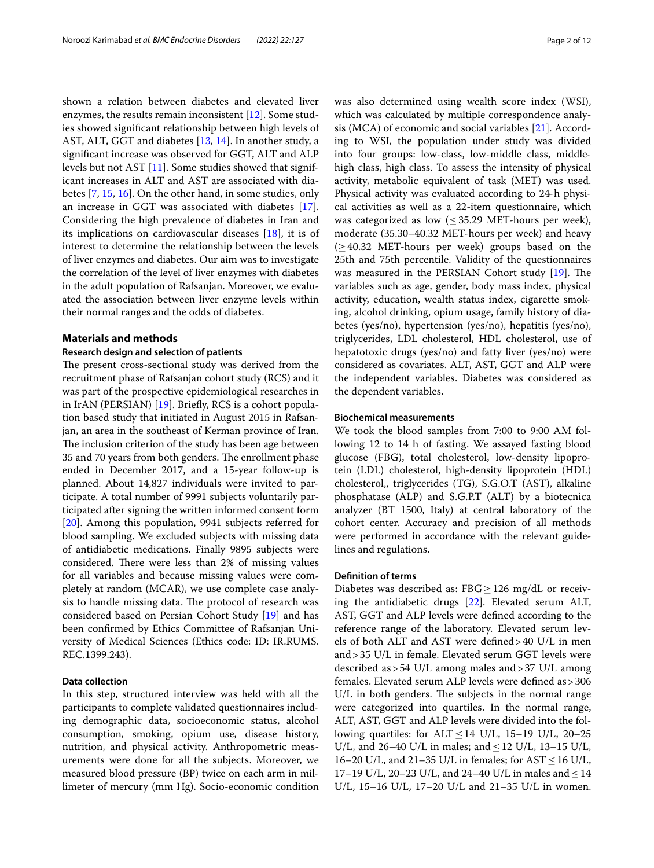shown a relation between diabetes and elevated liver enzymes, the results remain inconsistent [[12\]](#page-10-8). Some studies showed signifcant relationship between high levels of AST, ALT, GGT and diabetes [\[13,](#page-10-9) [14](#page-10-10)]. In another study, a signifcant increase was observed for GGT, ALT and ALP levels but not AST [\[11](#page-10-7)]. Some studies showed that significant increases in ALT and AST are associated with diabetes [[7](#page-10-3), [15,](#page-10-11) [16](#page-10-12)]. On the other hand, in some studies, only an increase in GGT was associated with diabetes [\[17](#page-10-13)]. Considering the high prevalence of diabetes in Iran and its implications on cardiovascular diseases [[18\]](#page-10-14), it is of interest to determine the relationship between the levels of liver enzymes and diabetes. Our aim was to investigate the correlation of the level of liver enzymes with diabetes in the adult population of Rafsanjan. Moreover, we evaluated the association between liver enzyme levels within their normal ranges and the odds of diabetes.

## **Materials and methods**

## **Research design and selection of patients**

The present cross-sectional study was derived from the recruitment phase of Rafsanjan cohort study (RCS) and it was part of the prospective epidemiological researches in in IrAN (PERSIAN) [\[19\]](#page-10-15). Briefy, RCS is a cohort population based study that initiated in August 2015 in Rafsanjan, an area in the southeast of Kerman province of Iran. The inclusion criterion of the study has been age between 35 and 70 years from both genders. The enrollment phase ended in December 2017, and a 15-year follow-up is planned. About 14,827 individuals were invited to participate. A total number of 9991 subjects voluntarily participated after signing the written informed consent form [[20\]](#page-10-16). Among this population, 9941 subjects referred for blood sampling. We excluded subjects with missing data of antidiabetic medications. Finally 9895 subjects were considered. There were less than 2% of missing values for all variables and because missing values were completely at random (MCAR), we use complete case analysis to handle missing data. The protocol of research was considered based on Persian Cohort Study [[19\]](#page-10-15) and has been confrmed by Ethics Committee of Rafsanjan University of Medical Sciences (Ethics code: ID: IR.RUMS. REC.1399.243).

# **Data collection**

In this step, structured interview was held with all the participants to complete validated questionnaires including demographic data, socioeconomic status, alcohol consumption, smoking, opium use, disease history, nutrition, and physical activity. Anthropometric measurements were done for all the subjects. Moreover, we measured blood pressure (BP) twice on each arm in millimeter of mercury (mm Hg). Socio-economic condition was also determined using wealth score index (WSI), which was calculated by multiple correspondence analysis (MCA) of economic and social variables [[21](#page-10-17)]. According to WSI, the population under study was divided into four groups: low-class, low-middle class, middlehigh class, high class. To assess the intensity of physical activity, metabolic equivalent of task (MET) was used. Physical activity was evaluated according to 24-h physical activities as well as a 22-item questionnaire, which was categorized as low  $(\leq 35.29 \text{ MET-hours per week}),$ moderate (35.30–40.32 MET-hours per week) and heavy  $(\geq 40.32$  MET-hours per week) groups based on the 25th and 75th percentile. Validity of the questionnaires was measured in the PERSIAN Cohort study  $[19]$  $[19]$ . The variables such as age, gender, body mass index, physical activity, education, wealth status index, cigarette smoking, alcohol drinking, opium usage, family history of diabetes (yes/no), hypertension (yes/no), hepatitis (yes/no), triglycerides, LDL cholesterol, HDL cholesterol, use of hepatotoxic drugs (yes/no) and fatty liver (yes/no) were considered as covariates. ALT, AST, GGT and ALP were the independent variables. Diabetes was considered as the dependent variables.

# **Biochemical measurements**

We took the blood samples from 7:00 to 9:00 AM following 12 to 14 h of fasting. We assayed fasting blood glucose (FBG), total cholesterol, low-density lipoprotein (LDL) cholesterol, high-density lipoprotein (HDL) cholesterol,, triglycerides (TG), S.G.O.T (AST), alkaline phosphatase (ALP) and S.G.P.T (ALT) by a biotecnica analyzer (BT 1500, Italy) at central laboratory of the cohort center. Accuracy and precision of all methods were performed in accordance with the relevant guidelines and regulations.

## **Defnition of terms**

Diabetes was described as:  $FBG \ge 126$  mg/dL or receiving the antidiabetic drugs [[22\]](#page-10-18). Elevated serum ALT, AST, GGT and ALP levels were defned according to the reference range of the laboratory. Elevated serum levels of both ALT and AST were defned>40 U/L in men and>35 U/L in female. Elevated serum GGT levels were described as>54 U/L among males and>37 U/L among females. Elevated serum ALP levels were defned as>306  $U/L$  in both genders. The subjects in the normal range were categorized into quartiles. In the normal range, ALT, AST, GGT and ALP levels were divided into the following quartiles: for ALT  $\leq$  14 U/L, 15–19 U/L, 20–25 U/L, and 26–40 U/L in males; and  $\leq$  12 U/L, 13–15 U/L, 16–20 U/L, and 21–35 U/L in females; for  $AST \le 16$  U/L, 17–19 U/L, 20–23 U/L, and 24–40 U/L in males and  $\leq$  14 U/L, 15–16 U/L, 17–20 U/L and 21–35 U/L in women.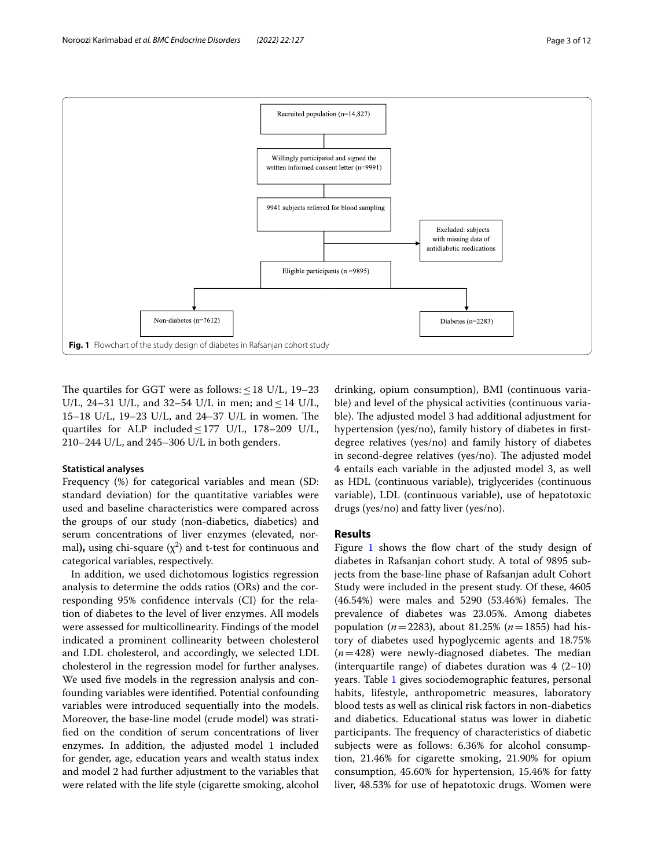

<span id="page-2-0"></span>The quartiles for GGT were as follows:  $\leq$  18 U/L, 19–23 U/L, 24–31 U/L, and 32–54 U/L in men; and  $\leq$  14 U/L, 15–18 U/L, 19–23 U/L, and 24–37 U/L in women. The quartiles for ALP included  $\leq$  177 U/L, 178–209 U/L, 210–244 U/L, and 245–306 U/L in both genders.

# **Statistical analyses**

Frequency (%) for categorical variables and mean (SD: standard deviation) for the quantitative variables were used and baseline characteristics were compared across the groups of our study (non-diabetics, diabetics) and serum concentrations of liver enzymes (elevated, normal), using chi-square  $(\chi^2)$  and t-test for continuous and categorical variables, respectively.

In addition, we used dichotomous logistics regression analysis to determine the odds ratios (ORs) and the corresponding 95% confdence intervals (CI) for the relation of diabetes to the level of liver enzymes. All models were assessed for multicollinearity. Findings of the model indicated a prominent collinearity between cholesterol and LDL cholesterol, and accordingly, we selected LDL cholesterol in the regression model for further analyses. We used fve models in the regression analysis and confounding variables were identifed. Potential confounding variables were introduced sequentially into the models. Moreover, the base-line model (crude model) was stratifed on the condition of serum concentrations of liver enzymes**.** In addition, the adjusted model 1 included for gender, age, education years and wealth status index and model 2 had further adjustment to the variables that were related with the life style (cigarette smoking, alcohol

drinking, opium consumption), BMI (continuous variable) and level of the physical activities (continuous variable). The adjusted model 3 had additional adjustment for hypertension (yes/no), family history of diabetes in frstdegree relatives (yes/no) and family history of diabetes in second-degree relatives (yes/no). The adjusted model 4 entails each variable in the adjusted model 3, as well as HDL (continuous variable), triglycerides (continuous variable), LDL (continuous variable), use of hepatotoxic drugs (yes/no) and fatty liver (yes/no).

# **Results**

Figure  $1$  shows the flow chart of the study design of diabetes in Rafsanjan cohort study. A total of 9895 subjects from the base-line phase of Rafsanjan adult Cohort Study were included in the present study. Of these, 4605  $(46.54%)$  were males and 5290  $(53.46%)$  females. The prevalence of diabetes was 23.05%. Among diabetes population (*n*=2283), about 81.25% (*n*=1855) had history of diabetes used hypoglycemic agents and 18.75%  $(n=428)$  were newly-diagnosed diabetes. The median (interquartile range) of diabetes duration was  $4(2-10)$ years. Table [1](#page-3-0) gives sociodemographic features, personal habits, lifestyle, anthropometric measures, laboratory blood tests as well as clinical risk factors in non-diabetics and diabetics. Educational status was lower in diabetic participants. The frequency of characteristics of diabetic subjects were as follows: 6.36% for alcohol consumption, 21.46% for cigarette smoking, 21.90% for opium consumption, 45.60% for hypertension, 15.46% for fatty liver, 48.53% for use of hepatotoxic drugs. Women were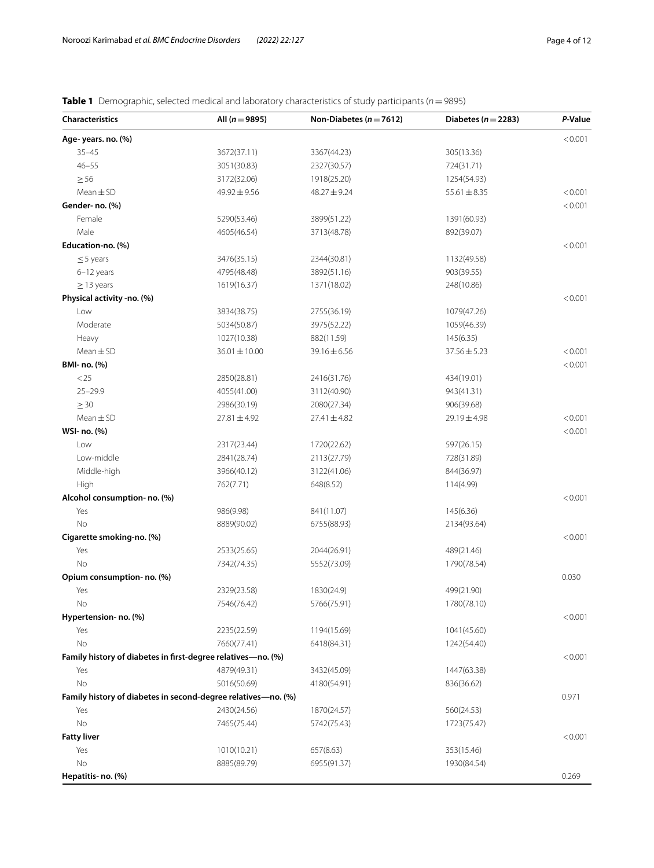<span id="page-3-0"></span>

|  |  |  | <b>Table 1</b> Demographic, selected medical and laboratory characteristics of study participants ( $n = 9895$ ) |
|--|--|--|------------------------------------------------------------------------------------------------------------------|
|  |  |  |                                                                                                                  |

| <b>Characteristics</b>                                        | All ( $n = 9895$ )         | Non-Diabetes ( $n = 7612$ ) | Diabetes ( $n = 2283$ ) | P-Value |
|---------------------------------------------------------------|----------------------------|-----------------------------|-------------------------|---------|
| Age-years. no. (%)                                            |                            |                             |                         | < 0.001 |
| $35 - 45$                                                     | 3672(37.11)                | 3367(44.23)                 | 305(13.36)              |         |
| $46 - 55$                                                     | 3051(30.83)                | 2327(30.57)                 | 724(31.71)              |         |
| $\geq 56$                                                     | 3172(32.06)                | 1918(25.20)                 | 1254(54.93)             |         |
| $Mean \pm SD$                                                 | 49.92±9.56                 | $48.27 \pm 9.24$            | $55.61 \pm 8.35$        | < 0.001 |
| Gender- no. (%)                                               |                            |                             |                         | < 0.001 |
| Female                                                        | 5290(53.46)                | 3899(51.22)                 | 1391(60.93)             |         |
| Male                                                          | 4605(46.54)                | 3713(48.78)                 | 892(39.07)              |         |
| Education-no. (%)                                             |                            |                             |                         | < 0.001 |
| $\leq$ 5 years                                                | 3476(35.15)                | 2344(30.81)                 | 1132(49.58)             |         |
| $6-12$ years                                                  | 4795(48.48)                | 3892(51.16)                 | 903(39.55)              |         |
| $\geq$ 13 years                                               | 1619(16.37)                | 1371(18.02)                 | 248(10.86)              |         |
| Physical activity -no. (%)                                    |                            |                             |                         | < 0.001 |
| Low                                                           | 3834(38.75)                | 2755(36.19)                 | 1079(47.26)             |         |
| Moderate                                                      | 5034(50.87)                | 3975(52.22)                 | 1059(46.39)             |         |
| Heavy                                                         | 1027(10.38)                | 882(11.59)                  | 145(6.35)               |         |
| $Mean \pm SD$                                                 | $36.01 \pm 10.00$          | 39.16 ± 6.56                | $37.56 \pm 5.23$        | < 0.001 |
| BMI- no. (%)                                                  |                            |                             |                         | < 0.001 |
| < 25                                                          | 2850(28.81)                | 2416(31.76)                 | 434(19.01)              |         |
| $25 - 29.9$                                                   | 4055(41.00)                | 3112(40.90)                 | 943(41.31)              |         |
| $\geq$ 30                                                     | 2986(30.19)                | 2080(27.34)                 | 906(39.68)              |         |
| $Mean \pm SD$                                                 | $27.81 \pm 4.92$           | $27.41 \pm 4.82$            | 29.19±4.98              | < 0.001 |
| WSI- no. (%)                                                  |                            |                             |                         | < 0.001 |
| Low                                                           | 2317(23.44)                | 1720(22.62)                 | 597(26.15)              |         |
| Low-middle                                                    | 2841(28.74)                | 2113(27.79)                 | 728(31.89)              |         |
| Middle-high                                                   | 3966(40.12)                | 3122(41.06)                 | 844(36.97)              |         |
| High                                                          | 762(7.71)                  | 648(8.52)                   | 114(4.99)               |         |
| Alcohol consumption- no. (%)                                  |                            |                             |                         | < 0.001 |
| Yes                                                           | 986(9.98)                  | 841(11.07)                  | 145(6.36)               |         |
| N <sub>o</sub>                                                | 8889(90.02)                |                             | 2134(93.64)             |         |
| Cigarette smoking-no. (%)                                     |                            | 6755(88.93)                 |                         | < 0.001 |
| Yes                                                           | 2533(25.65)                | 2044(26.91)                 | 489(21.46)              |         |
| No                                                            |                            |                             |                         |         |
| Opium consumption- no. (%)                                    | 7342(74.35)                | 5552(73.09)                 | 1790(78.54)             | 0.030   |
| Yes                                                           | 2329(23.58)                | 1830(24.9)                  | 499(21.90)              |         |
| <b>No</b>                                                     | 7546(76.42)                |                             |                         |         |
| Hypertension- no. (%)                                         |                            | 5766(75.91)                 | 1780(78.10)             | < 0.001 |
| Yes                                                           | 2235(22.59)                |                             | 1041(45.60)             |         |
| No                                                            | 7660(77.41)                | 1194(15.69)                 |                         |         |
| Family history of diabetes in first-degree relatives-no. (%)  |                            | 6418(84.31)                 | 1242(54.40)             | < 0.001 |
|                                                               |                            |                             |                         |         |
| Yes                                                           | 4879(49.31)<br>5016(50.69) | 3432(45.09)                 | 1447(63.38)             |         |
| No                                                            |                            | 4180(54.91)                 | 836(36.62)              |         |
| Family history of diabetes in second-degree relatives-no. (%) |                            |                             |                         | 0.971   |
| Yes                                                           | 2430(24.56)                | 1870(24.57)                 | 560(24.53)              |         |
| No                                                            | 7465(75.44)                | 5742(75.43)                 | 1723(75.47)             |         |
| <b>Fatty liver</b>                                            |                            |                             |                         | < 0.001 |
| Yes                                                           | 1010(10.21)                | 657(8.63)                   | 353(15.46)              |         |
| No                                                            | 8885(89.79)                | 6955(91.37)                 | 1930(84.54)             |         |
| Hepatitis- no. (%)                                            |                            |                             |                         | 0.269   |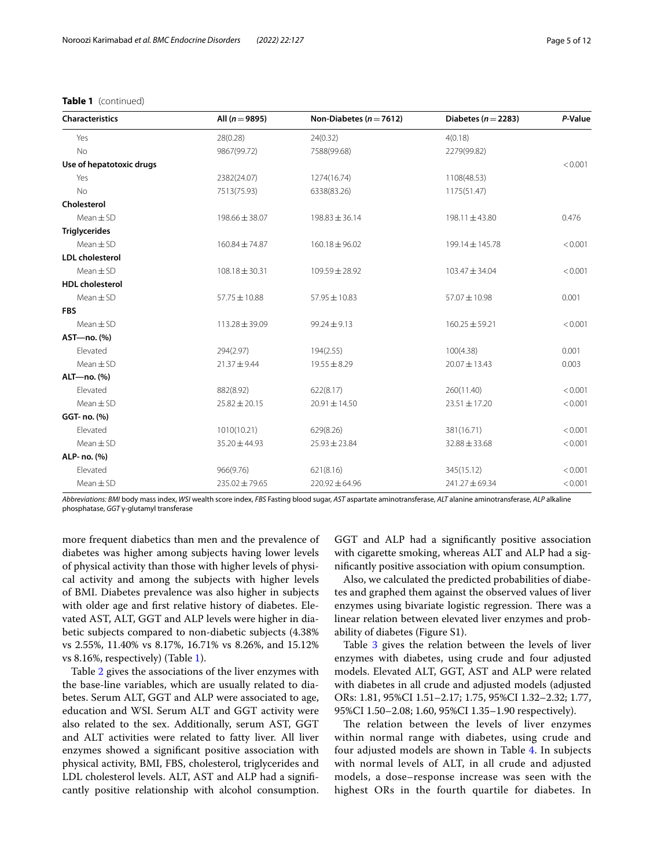# **Table 1** (continued)

| <b>Characteristics</b>   | All ( $n = 9895$ ) | Non-Diabetes ( $n = 7612$ ) | Diabetes ( $n = 2283$ ) | P-Value |
|--------------------------|--------------------|-----------------------------|-------------------------|---------|
| Yes                      | 28(0.28)           | 24(0.32)                    | 4(0.18)                 |         |
| <b>No</b>                | 9867(99.72)        | 7588(99.68)                 | 2279(99.82)             |         |
| Use of hepatotoxic drugs |                    |                             |                         | < 0.001 |
| Yes                      | 2382(24.07)        | 1274(16.74)                 | 1108(48.53)             |         |
| <b>No</b>                | 7513(75.93)        | 6338(83.26)                 | 1175(51.47)             |         |
| Cholesterol              |                    |                             |                         |         |
| $Mean \pm SD$            | 198.66 ± 38.07     | $198.83 \pm 36.14$          | 198.11 ± 43.80          | 0.476   |
| <b>Triglycerides</b>     |                    |                             |                         |         |
| $Mean \pm SD$            | $160.84 \pm 74.87$ | $160.18 \pm 96.02$          | $199.14 \pm 145.78$     | < 0.001 |
| <b>LDL</b> cholesterol   |                    |                             |                         |         |
| $Mean + SD$              | $108.18 \pm 30.31$ | 109.59 ± 28.92              | 103.47 ± 34.04          | < 0.001 |
| <b>HDL</b> cholesterol   |                    |                             |                         |         |
| $Mean \pm SD$            | 57.75 ± 10.88      | 57.95 ± 10.83               | 57.07 ± 10.98           | 0.001   |
| <b>FBS</b>               |                    |                             |                         |         |
| $Mean \pm SD$            | 113.28 ± 39.09     | $99.24 \pm 9.13$            | $160.25 \pm 59.21$      | < 0.001 |
| AST-no. (%)              |                    |                             |                         |         |
| Elevated                 | 294(2.97)          | 194(2.55)                   | 100(4.38)               | 0.001   |
| $Mean \pm SD$            | $21.37 + 9.44$     | $19.55 \pm 8.29$            | $20.07 \pm 13.43$       | 0.003   |
| ALT-no. (%)              |                    |                             |                         |         |
| Elevated                 | 882(8.92)          | 622(8.17)                   | 260(11.40)              | < 0.001 |
| $Mean + SD$              | $25.82 \pm 20.15$  | $20.91 \pm 14.50$           | $23.51 \pm 17.20$       | < 0.001 |
| GGT- no. (%)             |                    |                             |                         |         |
| Elevated                 | 1010(10.21)        | 629(8.26)                   | 381(16.71)              | < 0.001 |
| $Mean \pm SD$            | 35.20 ± 44.93      | $25.93 \pm 23.84$           | $32.88 \pm 33.68$       | < 0.001 |
| ALP- no. (%)             |                    |                             |                         |         |
| Elevated                 | 966(9.76)          | 621(8.16)                   | 345(15.12)              | < 0.001 |
| $Mean \pm SD$            | 235.02 ± 79.65     | $220.92 \pm 64.96$          | 241.27 ± 69.34          | < 0.001 |

*Abbreviations: BMI* body mass index, *WSI* wealth score index, *FBS* Fasting blood sugar, *AST* aspartate aminotransferase, *ALT* alanine aminotransferase, *ALP* alkaline phosphatase, *GGT* γ-glutamyl transferase

more frequent diabetics than men and the prevalence of diabetes was higher among subjects having lower levels of physical activity than those with higher levels of physical activity and among the subjects with higher levels of BMI. Diabetes prevalence was also higher in subjects with older age and frst relative history of diabetes. Elevated AST, ALT, GGT and ALP levels were higher in diabetic subjects compared to non-diabetic subjects (4.38% vs 2.55%, 11.40% vs 8.17%, 16.71% vs 8.26%, and 15.12% vs 8.16%, respectively) (Table [1](#page-3-0)).

Table [2](#page-5-0) gives the associations of the liver enzymes with the base-line variables, which are usually related to diabetes. Serum ALT, GGT and ALP were associated to age, education and WSI. Serum ALT and GGT activity were also related to the sex. Additionally, serum AST, GGT and ALT activities were related to fatty liver. All liver enzymes showed a signifcant positive association with physical activity, BMI, FBS, cholesterol, triglycerides and LDL cholesterol levels. ALT, AST and ALP had a signifcantly positive relationship with alcohol consumption.

GGT and ALP had a signifcantly positive association with cigarette smoking, whereas ALT and ALP had a signifcantly positive association with opium consumption.

Also, we calculated the predicted probabilities of diabetes and graphed them against the observed values of liver enzymes using bivariate logistic regression. There was a linear relation between elevated liver enzymes and probability of diabetes (Figure S1).

Table [3](#page-6-0) gives the relation between the levels of liver enzymes with diabetes, using crude and four adjusted models. Elevated ALT, GGT, AST and ALP were related with diabetes in all crude and adjusted models (adjusted ORs: 1.81, 95%CI 1.51–2.17; 1.75, 95%CI 1.32–2.32; 1.77, 95%CI 1.50–2.08; 1.60, 95%CI 1.35–1.90 respectively).

The relation between the levels of liver enzymes within normal range with diabetes, using crude and four adjusted models are shown in Table [4.](#page-7-0) In subjects with normal levels of ALT, in all crude and adjusted models, a dose–response increase was seen with the highest ORs in the fourth quartile for diabetes. In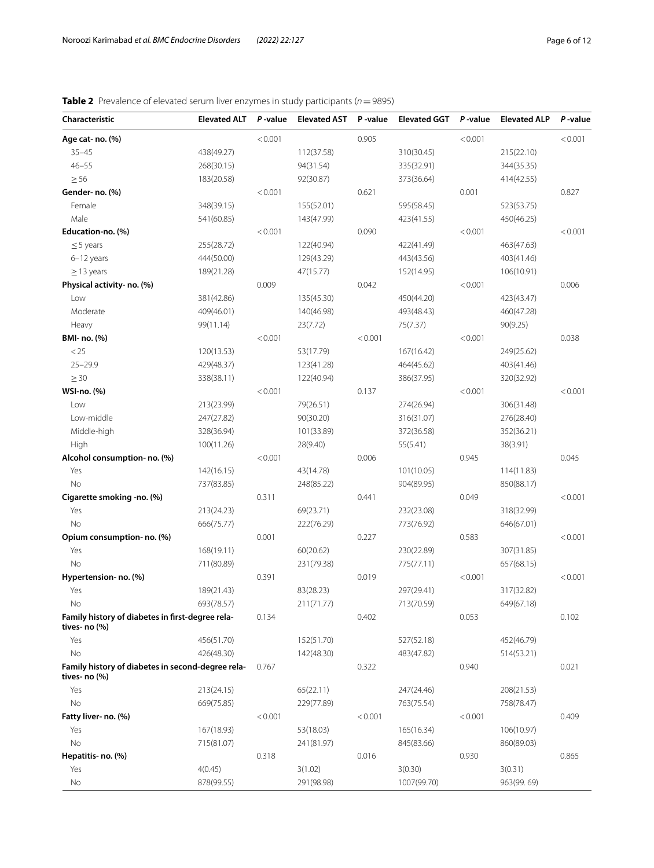# <span id="page-5-0"></span>**Table 2** Prevalence of elevated serum liver enzymes in study participants (*n*=9895)

| Characteristic                                                        | <b>Elevated ALT</b> | P-value | <b>Elevated AST</b> | P-value | <b>Elevated GGT</b> | P-value | <b>Elevated ALP</b> | P-value |
|-----------------------------------------------------------------------|---------------------|---------|---------------------|---------|---------------------|---------|---------------------|---------|
| Age cat- no. (%)                                                      |                     | < 0.001 |                     | 0.905   |                     | < 0.001 |                     | < 0.001 |
| $35 - 45$                                                             | 438(49.27)          |         | 112(37.58)          |         | 310(30.45)          |         | 215(22.10)          |         |
| $46 - 55$                                                             | 268(30.15)          |         | 94(31.54)           |         | 335(32.91)          |         | 344(35.35)          |         |
| $\geq 56$                                                             | 183(20.58)          |         | 92(30.87)           |         | 373(36.64)          |         | 414(42.55)          |         |
| Gender- no. (%)                                                       |                     | < 0.001 |                     | 0.621   |                     | 0.001   |                     | 0.827   |
| Female                                                                | 348(39.15)          |         | 155(52.01)          |         | 595(58.45)          |         | 523(53.75)          |         |
| Male                                                                  | 541(60.85)          |         | 143(47.99)          |         | 423(41.55)          |         | 450(46.25)          |         |
| Education-no. (%)                                                     |                     | < 0.001 |                     | 0.090   |                     | < 0.001 |                     | < 0.001 |
| $\leq$ 5 years                                                        | 255(28.72)          |         | 122(40.94)          |         | 422(41.49)          |         | 463(47.63)          |         |
| 6-12 years                                                            | 444(50.00)          |         | 129(43.29)          |         | 443(43.56)          |         | 403(41.46)          |         |
| $\geq$ 13 years                                                       | 189(21.28)          |         | 47(15.77)           |         | 152(14.95)          |         | 106(10.91)          |         |
| Physical activity- no. (%)                                            |                     | 0.009   |                     | 0.042   |                     | < 0.001 |                     | 0.006   |
| Low                                                                   | 381(42.86)          |         | 135(45.30)          |         | 450(44.20)          |         | 423(43.47)          |         |
| Moderate                                                              | 409(46.01)          |         | 140(46.98)          |         | 493(48.43)          |         | 460(47.28)          |         |
| Heavy                                                                 | 99(11.14)           |         | 23(7.72)            |         | 75(7.37)            |         | 90(9.25)            |         |
| BMI- no. (%)                                                          |                     | < 0.001 |                     | < 0.001 |                     | < 0.001 |                     | 0.038   |
| < 25                                                                  | 120(13.53)          |         | 53(17.79)           |         | 167(16.42)          |         | 249(25.62)          |         |
| $25 - 29.9$                                                           | 429(48.37)          |         | 123(41.28)          |         | 464(45.62)          |         | 403(41.46)          |         |
| $\geq$ 30                                                             | 338(38.11)          |         | 122(40.94)          |         | 386(37.95)          |         | 320(32.92)          |         |
| WSI-no. (%)                                                           |                     | < 0.001 |                     | 0.137   |                     | < 0.001 |                     | < 0.001 |
| Low                                                                   | 213(23.99)          |         | 79(26.51)           |         | 274(26.94)          |         | 306(31.48)          |         |
| Low-middle                                                            | 247(27.82)          |         | 90(30.20)           |         | 316(31.07)          |         | 276(28.40)          |         |
| Middle-high                                                           | 328(36.94)          |         | 101(33.89)          |         | 372(36.58)          |         | 352(36.21)          |         |
| High                                                                  | 100(11.26)          |         | 28(9.40)            |         | 55(5.41)            |         | 38(3.91)            |         |
| Alcohol consumption- no. (%)                                          |                     | < 0.001 |                     | 0.006   |                     | 0.945   |                     | 0.045   |
| Yes                                                                   | 142(16.15)          |         | 43(14.78)           |         | 101(10.05)          |         | 114(11.83)          |         |
| <b>No</b>                                                             | 737(83.85)          |         | 248(85.22)          |         | 904(89.95)          |         | 850(88.17)          |         |
| Cigarette smoking -no. (%)                                            |                     | 0.311   |                     | 0.441   |                     | 0.049   |                     | < 0.001 |
| Yes                                                                   | 213(24.23)          |         | 69(23.71)           |         | 232(23.08)          |         | 318(32.99)          |         |
| <b>No</b>                                                             | 666(75.77)          |         | 222(76.29)          |         | 773(76.92)          |         | 646(67.01)          |         |
| Opium consumption- no. (%)                                            |                     | 0.001   |                     | 0.227   |                     | 0.583   |                     | < 0.001 |
| Yes                                                                   | 168(19.11)          |         | 60(20.62)           |         | 230(22.89)          |         | 307(31.85)          |         |
| <b>No</b>                                                             | 711(80.89)          |         | 231(79.38)          |         | 775(77.11)          |         | 657(68.15)          |         |
| Hypertension- no. (%)                                                 |                     | 0.391   |                     | 0.019   |                     | < 0.001 |                     | < 0.001 |
| Yes                                                                   | 189(21.43)          |         | 83(28.23)           |         | 297(29.41)          |         | 317(32.82)          |         |
| No                                                                    | 693(78.57)          |         | 211(71.77)          |         | 713(70.59)          |         | 649(67.18)          |         |
| Family history of diabetes in first-degree rela-<br>tives- no (%)     |                     | 0.134   |                     | 0.402   |                     | 0.053   |                     | 0.102   |
| Yes                                                                   | 456(51.70)          |         | 152(51.70)          |         | 527(52.18)          |         | 452(46.79)          |         |
| No                                                                    | 426(48.30)          |         | 142(48.30)          |         | 483(47.82)          |         | 514(53.21)          |         |
| Family history of diabetes in second-degree rela-<br>tives- no $(\%)$ |                     | 0.767   |                     | 0.322   |                     | 0.940   |                     | 0.021   |
| Yes                                                                   | 213(24.15)          |         | 65(22.11)           |         | 247(24.46)          |         | 208(21.53)          |         |
| No                                                                    | 669(75.85)          |         | 229(77.89)          |         | 763(75.54)          |         | 758(78.47)          |         |
| Fatty liver- no. (%)                                                  |                     | < 0.001 |                     | < 0.001 |                     | < 0.001 |                     | 0.409   |
| Yes                                                                   | 167(18.93)          |         | 53(18.03)           |         | 165(16.34)          |         | 106(10.97)          |         |
| No                                                                    | 715(81.07)          |         | 241(81.97)          |         | 845(83.66)          |         | 860(89.03)          |         |
| Hepatitis- no. (%)                                                    |                     | 0.318   |                     | 0.016   |                     | 0.930   |                     | 0.865   |
| Yes                                                                   | 4(0.45)             |         | 3(1.02)             |         | 3(0.30)             |         | 3(0.31)             |         |
| No                                                                    | 878(99.55)          |         | 291(98.98)          |         | 1007(99.70)         |         | 963(99.69)          |         |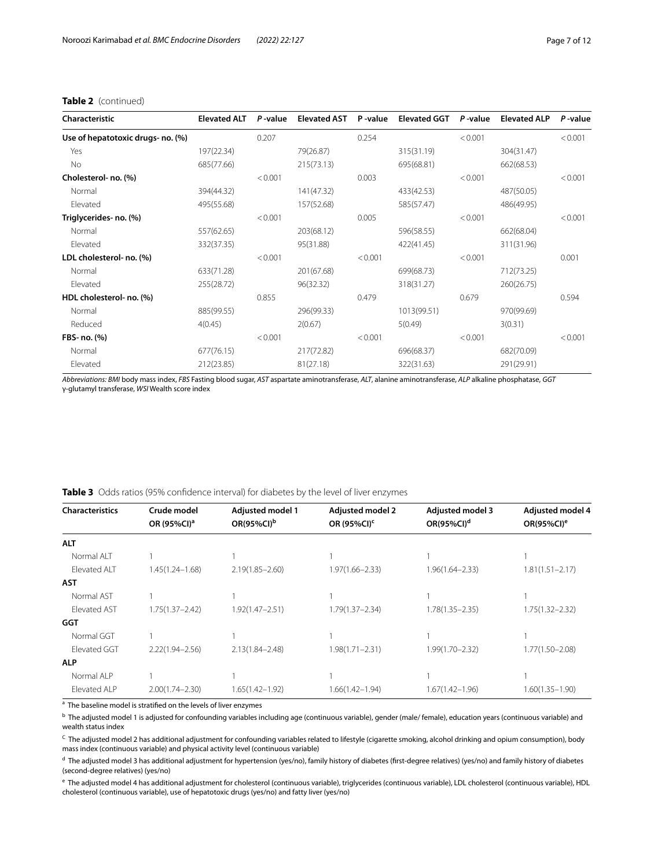# **Table 2** (continued)

| Characteristic                    | <b>Elevated ALT</b> | P-value | <b>Elevated AST</b> | P-value | <b>Elevated GGT</b> | $P$ -value | <b>Elevated ALP</b> | P-value |
|-----------------------------------|---------------------|---------|---------------------|---------|---------------------|------------|---------------------|---------|
| Use of hepatotoxic drugs- no. (%) |                     | 0.207   |                     | 0.254   |                     | < 0.001    |                     | < 0.001 |
| Yes                               | 197(22.34)          |         | 79(26.87)           |         | 315(31.19)          |            | 304(31.47)          |         |
| No                                | 685(77.66)          |         | 215(73.13)          |         | 695(68.81)          |            | 662(68.53)          |         |
| Cholesterol- no. (%)              |                     | < 0.001 |                     | 0.003   |                     | < 0.001    |                     | < 0.001 |
| Normal                            | 394(44.32)          |         | 141(47.32)          |         | 433(42.53)          |            | 487(50.05)          |         |
| Elevated                          | 495(55.68)          |         | 157(52.68)          |         | 585(57.47)          |            | 486(49.95)          |         |
| Triglycerides- no. (%)            |                     | < 0.001 |                     | 0.005   |                     | < 0.001    |                     | < 0.001 |
| Normal                            | 557(62.65)          |         | 203(68.12)          |         | 596(58.55)          |            | 662(68.04)          |         |
| Elevated                          | 332(37.35)          |         | 95(31.88)           |         | 422(41.45)          |            | 311(31.96)          |         |
| LDL cholesterol- no. (%)          |                     | < 0.001 |                     | < 0.001 |                     | < 0.001    |                     | 0.001   |
| Normal                            | 633(71.28)          |         | 201(67.68)          |         | 699(68.73)          |            | 712(73.25)          |         |
| Elevated                          | 255(28.72)          |         | 96(32.32)           |         | 318(31.27)          |            | 260(26.75)          |         |
| HDL cholesterol- no. (%)          |                     | 0.855   |                     | 0.479   |                     | 0.679      |                     | 0.594   |
| Normal                            | 885(99.55)          |         | 296(99.33)          |         | 1013(99.51)         |            | 970(99.69)          |         |
| Reduced                           | 4(0.45)             |         | 2(0.67)             |         | 5(0.49)             |            | 3(0.31)             |         |
| FBS- no. (%)                      |                     | < 0.001 |                     | < 0.001 |                     | < 0.001    |                     | < 0.001 |
| Normal                            | 677(76.15)          |         | 217(72.82)          |         | 696(68.37)          |            | 682(70.09)          |         |
| Elevated                          | 212(23.85)          |         | 81(27.18)           |         | 322(31.63)          |            | 291(29.91)          |         |

*Abbreviations: BMI* body mass index, *FBS* Fasting blood sugar, *AST* aspartate aminotransferase, *ALT*, alanine aminotransferase, *ALP* alkaline phosphatase, *GGT* γ-glutamyl transferase, *WSI* Wealth score index

<span id="page-6-0"></span>

|  |  | <b>Table 3</b> Odds ratios (95% confidence interval) for diabetes by the level of liver enzymes |  |  |  |  |  |
|--|--|-------------------------------------------------------------------------------------------------|--|--|--|--|--|
|--|--|-------------------------------------------------------------------------------------------------|--|--|--|--|--|

| <b>Characteristics</b> | Crude model             | Adjusted model 1       | <b>Adjusted model 2</b> | <b>Adjusted model 3</b> | Adjusted model 4    |
|------------------------|-------------------------|------------------------|-------------------------|-------------------------|---------------------|
|                        | OR (95%CI) <sup>a</sup> | OR(95%CI) <sup>b</sup> | OR (95%CI) <sup>c</sup> | $OR(95\%CI)^d$          | $OR(95\%CI)^e$      |
| ALT                    |                         |                        |                         |                         |                     |
| Normal ALT             |                         |                        |                         |                         |                     |
| Elevated ALT           | 1.45(1.24–1.68)         | $2.19(1.85 - 2.60)$    | $1.97(1.66 - 2.33)$     | $1.96(1.64 - 2.33)$     | $1.81(1.51 - 2.17)$ |
| <b>AST</b>             |                         |                        |                         |                         |                     |
| Normal AST             |                         |                        |                         |                         |                     |
| <b>Elevated AST</b>    | $1.75(1.37 - 2.42)$     | $1.92(1.47 - 2.51)$    | $1.79(1.37 - 2.34)$     | $1.78(1.35 - 2.35)$     | $1.75(1.32 - 2.32)$ |
| GGT                    |                         |                        |                         |                         |                     |
| Normal GGT             |                         |                        |                         |                         |                     |
| Elevated GGT           | $2.22(1.94 - 2.56)$     | $2.13(1.84 - 2.48)$    | $1.98(1.71 - 2.31)$     | $1.99(1.70 - 2.32)$     | $1.77(1.50 - 2.08)$ |
| <b>ALP</b>             |                         |                        |                         |                         |                     |
| Normal ALP             |                         |                        |                         |                         |                     |
| Elevated ALP           | $2.00(1.74 - 2.30)$     | $1.65(1.42 - 1.92)$    | $1.66(1.42 - 1.94)$     | $1.67(1.42 - 1.96)$     | $1.60(1.35 - 1.90)$ |

<sup>a</sup> The baseline model is stratified on the levels of liver enzymes

<sup>b</sup> The adjusted model 1 is adjusted for confounding variables including age (continuous variable), gender (male/ female), education years (continuous variable) and wealth status index

 $\epsilon$  The adjusted model 2 has additional adjustment for confounding variables related to lifestyle (cigarette smoking, alcohol drinking and opium consumption), body mass index (continuous variable) and physical activity level (continuous variable)

<sup>d</sup> The adjusted model 3 has additional adjustment for hypertension (yes/no), family history of diabetes (first-degree relatives) (yes/no) and family history of diabetes (second-degree relatives) (yes/no)

e The adjusted model 4 has additional adjustment for cholesterol (continuous variable), triglycerides (continuous variable), LDL cholesterol (continuous variable), HDL cholesterol (continuous variable), use of hepatotoxic drugs (yes/no) and fatty liver (yes/no)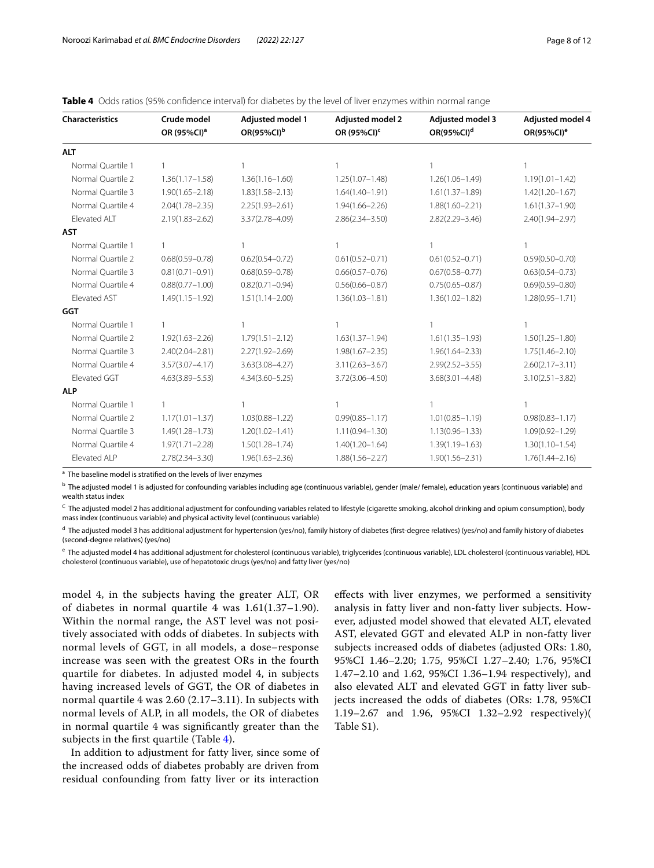<span id="page-7-0"></span>

|  |  |  | <b>Table 4</b> Odds ratios (95% confidence interval) for diabetes by the level of liver enzymes within normal range |  |
|--|--|--|---------------------------------------------------------------------------------------------------------------------|--|
|  |  |  |                                                                                                                     |  |

| <b>Characteristics</b> | Crude model<br>OR (95%CI) <sup>a</sup> | <b>Adjusted model 1</b><br>OR(95%CI) <sup>b</sup> | <b>Adjusted model 2</b><br>OR (95%CI) <sup>c</sup> | <b>Adjusted model 3</b><br>$OR(95\%CI)^d$ | <b>Adjusted model 4</b><br>OR(95%CI) <sup>e</sup> |
|------------------------|----------------------------------------|---------------------------------------------------|----------------------------------------------------|-------------------------------------------|---------------------------------------------------|
| <b>ALT</b>             |                                        |                                                   |                                                    |                                           |                                                   |
| Normal Quartile 1      |                                        |                                                   |                                                    |                                           |                                                   |
| Normal Quartile 2      | $1.36(1.17 - 1.58)$                    | $1.36(1.16 - 1.60)$                               | $1.25(1.07 - 1.48)$                                | $1.26(1.06 - 1.49)$                       | $1.19(1.01 - 1.42)$                               |
| Normal Quartile 3      | $1.90(1.65 - 2.18)$                    | $1.83(1.58 - 2.13)$                               | $1.64(1.40 - 1.91)$                                | $1.61(1.37 - 1.89)$                       | $1.42(1.20 - 1.67)$                               |
| Normal Ouartile 4      | $2.04(1.78 - 2.35)$                    | $2.25(1.93 - 2.61)$                               | $1.94(1.66 - 2.26)$                                | $1.88(1.60 - 2.21)$                       | $1.61(1.37 - 1.90)$                               |
| Elevated ALT           | $2.19(1.83 - 2.62)$                    | 3.37(2.78-4.09)                                   | $2.86(2.34 - 3.50)$                                | $2.82(2.29 - 3.46)$                       | 2.40(1.94-2.97)                                   |
| <b>AST</b>             |                                        |                                                   |                                                    |                                           |                                                   |
| Normal Quartile 1      |                                        |                                                   |                                                    |                                           |                                                   |
| Normal Ouartile 2      | $0.68(0.59 - 0.78)$                    | $0.62(0.54 - 0.72)$                               | $0.61(0.52 - 0.71)$                                | $0.61(0.52 - 0.71)$                       | $0.59(0.50 - 0.70)$                               |
| Normal Quartile 3      | $0.81(0.71 - 0.91)$                    | $0.68(0.59 - 0.78)$                               | $0.66(0.57 - 0.76)$                                | $0.67(0.58 - 0.77)$                       | $0.63(0.54 - 0.73)$                               |
| Normal Quartile 4      | $0.88(0.77 - 1.00)$                    | $0.82(0.71 - 0.94)$                               | $0.56(0.66 - 0.87)$                                | $0.75(0.65 - 0.87)$                       | $0.69(0.59 - 0.80)$                               |
| Elevated AST           | $1.49(1.15 - 1.92)$                    | $1.51(1.14 - 2.00)$                               | $1.36(1.03 - 1.81)$                                | $1.36(1.02 - 1.82)$                       | $1.28(0.95 - 1.71)$                               |
| <b>GGT</b>             |                                        |                                                   |                                                    |                                           |                                                   |
| Normal Quartile 1      |                                        |                                                   |                                                    |                                           |                                                   |
| Normal Quartile 2      | $1.92(1.63 - 2.26)$                    | $1.79(1.51 - 2.12)$                               | $1.63(1.37 - 1.94)$                                | $1.61(1.35 - 1.93)$                       | $1.50(1.25 - 1.80)$                               |
| Normal Quartile 3      | $2.40(2.04 - 2.81)$                    | $2.27(1.92 - 2.69)$                               | $1.98(1.67 - 2.35)$                                | $1.96(1.64 - 2.33)$                       | $1.75(1.46 - 2.10)$                               |
| Normal Quartile 4      | $3.57(3.07 - 4.17)$                    | $3.63(3.08 - 4.27)$                               | $3.11(2.63 - 3.67)$                                | $2.99(2.52 - 3.55)$                       | $2.60(2.17 - 3.11)$                               |
| Elevated GGT           | $4.63(3.89 - 5.53)$                    | $4.34(3.60 - 5.25)$                               | 3.72(3.06-4.50)                                    | $3.68(3.01 - 4.48)$                       | $3.10(2.51 - 3.82)$                               |
| <b>ALP</b>             |                                        |                                                   |                                                    |                                           |                                                   |
| Normal Quartile 1      | 1                                      |                                                   |                                                    |                                           | 1                                                 |
| Normal Quartile 2      | $1.17(1.01 - 1.37)$                    | $1.03(0.88 - 1.22)$                               | $0.99(0.85 - 1.17)$                                | $1.01(0.85 - 1.19)$                       | $0.98(0.83 - 1.17)$                               |
| Normal Quartile 3      | $1.49(1.28 - 1.73)$                    | $1.20(1.02 - 1.41)$                               | $1.11(0.94 - 1.30)$                                | $1.13(0.96 - 1.33)$                       | $1.09(0.92 - 1.29)$                               |
| Normal Quartile 4      | $1.97(1.71 - 2.28)$                    | $1.50(1.28 - 1.74)$                               | $1.40(1.20 - 1.64)$                                | $1.39(1.19 - 1.63)$                       | $1.30(1.10 - 1.54)$                               |
| Elevated ALP           | $2.78(2.34 - 3.30)$                    | $1.96(1.63 - 2.36)$                               | $1.88(1.56 - 2.27)$                                | $1.90(1.56 - 2.31)$                       | $1.76(1.44 - 2.16)$                               |

<sup>a</sup> The baseline model is stratified on the levels of liver enzymes

<sup>b</sup> The adjusted model 1 is adjusted for confounding variables including age (continuous variable), gender (male/ female), education years (continuous variable) and wealth status index

C The adjusted model 2 has additional adjustment for confounding variables related to lifestyle (cigarette smoking, alcohol drinking and opium consumption), body mass index (continuous variable) and physical activity level (continuous variable)

<sup>d</sup> The adjusted model 3 has additional adjustment for hypertension (yes/no), family history of diabetes (first-degree relatives) (yes/no) and family history of diabetes (second-degree relatives) (yes/no)

e The adjusted model 4 has additional adjustment for cholesterol (continuous variable), triglycerides (continuous variable), LDL cholesterol (continuous variable), HDL cholesterol (continuous variable), use of hepatotoxic drugs (yes/no) and fatty liver (yes/no)

model 4, in the subjects having the greater ALT, OR of diabetes in normal quartile 4 was  $1.61(1.37-1.90)$ . Within the normal range, the AST level was not positively associated with odds of diabetes. In subjects with normal levels of GGT, in all models, a dose–response increase was seen with the greatest ORs in the fourth quartile for diabetes. In adjusted model 4, in subjects having increased levels of GGT, the OR of diabetes in normal quartile 4 was 2.60 (2.17–3.11). In subjects with normal levels of ALP, in all models, the OR of diabetes in normal quartile 4 was signifcantly greater than the subjects in the frst quartile (Table [4](#page-7-0)).

In addition to adjustment for fatty liver, since some of the increased odds of diabetes probably are driven from residual confounding from fatty liver or its interaction

efects with liver enzymes, we performed a sensitivity analysis in fatty liver and non-fatty liver subjects. However, adjusted model showed that elevated ALT, elevated AST, elevated GGT and elevated ALP in non-fatty liver subjects increased odds of diabetes (adjusted ORs: 1.80, 95%CI 1.46–2.20; 1.75, 95%CI 1.27–2.40; 1.76, 95%CI 1.47–2.10 and 1.62, 95%CI 1.36–1.94 respectively), and also elevated ALT and elevated GGT in fatty liver subjects increased the odds of diabetes (ORs: 1.78, 95%CI 1.19–2.67 and 1.96, 95%CI 1.32–2.92 respectively)( Table S1).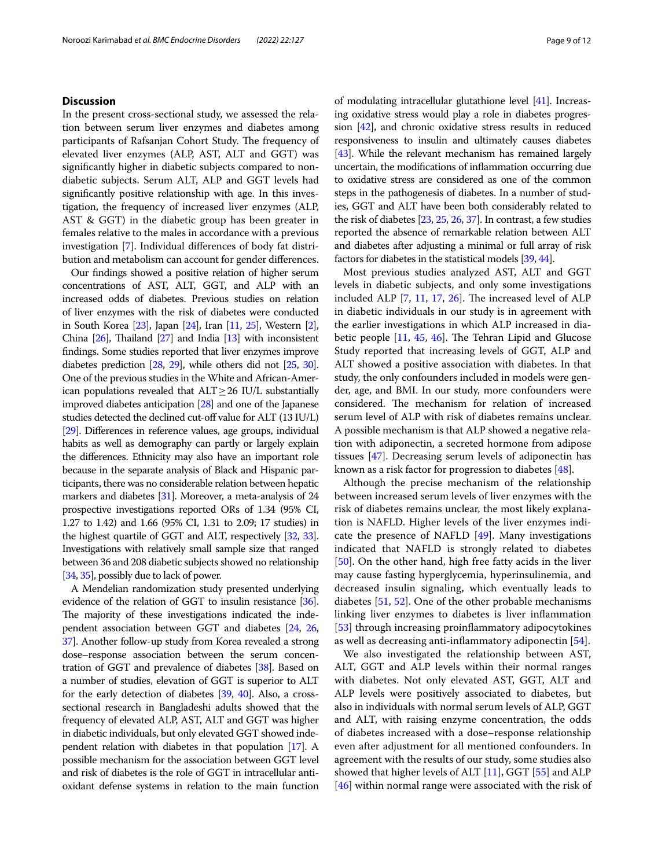# **Discussion**

In the present cross-sectional study, we assessed the relation between serum liver enzymes and diabetes among participants of Rafsanjan Cohort Study. The frequency of elevated liver enzymes (ALP, AST, ALT and GGT) was signifcantly higher in diabetic subjects compared to nondiabetic subjects. Serum ALT, ALP and GGT levels had signifcantly positive relationship with age. In this investigation, the frequency of increased liver enzymes (ALP, AST & GGT) in the diabetic group has been greater in females relative to the males in accordance with a previous investigation [\[7\]](#page-10-3). Individual diferences of body fat distribution and metabolism can account for gender diferences.

Our fndings showed a positive relation of higher serum concentrations of AST, ALT, GGT, and ALP with an increased odds of diabetes. Previous studies on relation of liver enzymes with the risk of diabetes were conducted in South Korea [[23\]](#page-10-19), Japan [\[24](#page-10-20)], Iran [\[11](#page-10-7), [25](#page-10-21)], Western [[2](#page-9-1)], China  $[26]$  $[26]$ , Thailand  $[27]$  $[27]$  $[27]$  and India  $[13]$  $[13]$  with inconsistent fndings. Some studies reported that liver enzymes improve diabetes prediction [\[28](#page-10-24), [29](#page-10-25)], while others did not [\[25](#page-10-21), [30](#page-10-26)]. One of the previous studies in the White and African-American populations revealed that  $ALT \geq 26$  IU/L substantially improved diabetes anticipation [[28](#page-10-24)] and one of the Japanese studies detected the declined cut-off value for ALT (13 IU/L) [[29\]](#page-10-25). Diferences in reference values, age groups, individual habits as well as demography can partly or largely explain the diferences. Ethnicity may also have an important role because in the separate analysis of Black and Hispanic participants, there was no considerable relation between hepatic markers and diabetes [[31](#page-10-27)]. Moreover, a meta-analysis of 24 prospective investigations reported ORs of 1.34 (95% CI, 1.27 to 1.42) and 1.66 (95% CI, 1.31 to 2.09; 17 studies) in the highest quartile of GGT and ALT, respectively [[32,](#page-10-28) [33](#page-10-29)]. Investigations with relatively small sample size that ranged between 36 and 208 diabetic subjects showed no relationship [[34,](#page-10-30) [35](#page-10-31)], possibly due to lack of power.

A Mendelian randomization study presented underlying evidence of the relation of GGT to insulin resistance [\[36](#page-10-32)]. The majority of these investigations indicated the independent association between GGT and diabetes [\[24](#page-10-20), [26](#page-10-22), [37](#page-10-33)]. Another follow-up study from Korea revealed a strong dose–response association between the serum concentration of GGT and prevalence of diabetes [\[38\]](#page-10-34). Based on a number of studies, elevation of GGT is superior to ALT for the early detection of diabetes [[39,](#page-10-35) [40](#page-10-36)]. Also, a crosssectional research in Bangladeshi adults showed that the frequency of elevated ALP, AST, ALT and GGT was higher in diabetic individuals, but only elevated GGT showed independent relation with diabetes in that population [\[17\]](#page-10-13). A possible mechanism for the association between GGT level and risk of diabetes is the role of GGT in intracellular antioxidant defense systems in relation to the main function of modulating intracellular glutathione level [\[41\]](#page-10-37). Increasing oxidative stress would play a role in diabetes progression [\[42\]](#page-10-38), and chronic oxidative stress results in reduced responsiveness to insulin and ultimately causes diabetes [[43](#page-10-39)]. While the relevant mechanism has remained largely uncertain, the modifcations of infammation occurring due to oxidative stress are considered as one of the common steps in the pathogenesis of diabetes. In a number of studies, GGT and ALT have been both considerably related to the risk of diabetes [\[23,](#page-10-19) [25,](#page-10-21) [26](#page-10-22), [37](#page-10-33)]. In contrast, a few studies reported the absence of remarkable relation between ALT and diabetes after adjusting a minimal or full array of risk factors for diabetes in the statistical models [\[39,](#page-10-35) [44](#page-10-40)].

Most previous studies analyzed AST, ALT and GGT levels in diabetic subjects, and only some investigations included ALP  $[7, 11, 17, 26]$  $[7, 11, 17, 26]$  $[7, 11, 17, 26]$  $[7, 11, 17, 26]$  $[7, 11, 17, 26]$  $[7, 11, 17, 26]$  $[7, 11, 17, 26]$  $[7, 11, 17, 26]$  $[7, 11, 17, 26]$ . The increased level of ALP in diabetic individuals in our study is in agreement with the earlier investigations in which ALP increased in diabetic people  $[11, 45, 46]$  $[11, 45, 46]$  $[11, 45, 46]$  $[11, 45, 46]$  $[11, 45, 46]$  $[11, 45, 46]$ . The Tehran Lipid and Glucose Study reported that increasing levels of GGT, ALP and ALT showed a positive association with diabetes. In that study, the only confounders included in models were gender, age, and BMI. In our study, more confounders were considered. The mechanism for relation of increased serum level of ALP with risk of diabetes remains unclear. A possible mechanism is that ALP showed a negative relation with adiponectin, a secreted hormone from adipose tissues [\[47](#page-10-43)]. Decreasing serum levels of adiponectin has known as a risk factor for progression to diabetes [\[48\]](#page-10-44).

Although the precise mechanism of the relationship between increased serum levels of liver enzymes with the risk of diabetes remains unclear, the most likely explanation is NAFLD. Higher levels of the liver enzymes indicate the presence of NAFLD [\[49](#page-11-0)]. Many investigations indicated that NAFLD is strongly related to diabetes [[50\]](#page-11-1). On the other hand, high free fatty acids in the liver may cause fasting hyperglycemia, hyperinsulinemia, and decreased insulin signaling, which eventually leads to diabetes [\[51](#page-11-2), [52](#page-11-3)]. One of the other probable mechanisms linking liver enzymes to diabetes is liver infammation [[53\]](#page-11-4) through increasing proinflammatory adipocytokines as well as decreasing anti-infammatory adiponectin [[54](#page-11-5)].

We also investigated the relationship between AST, ALT, GGT and ALP levels within their normal ranges with diabetes. Not only elevated AST, GGT, ALT and ALP levels were positively associated to diabetes, but also in individuals with normal serum levels of ALP, GGT and ALT, with raising enzyme concentration, the odds of diabetes increased with a dose–response relationship even after adjustment for all mentioned confounders. In agreement with the results of our study, some studies also showed that higher levels of ALT [[11](#page-10-7)], GGT [[55\]](#page-11-6) and ALP [[46\]](#page-10-42) within normal range were associated with the risk of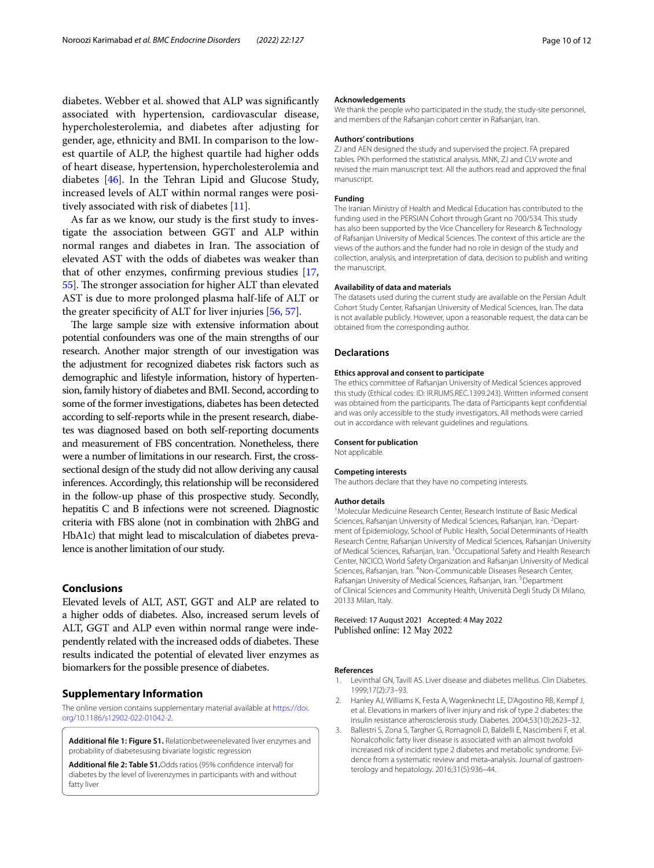diabetes. Webber et al. showed that ALP was signifcantly associated with hypertension, cardiovascular disease, hypercholesterolemia, and diabetes after adjusting for gender, age, ethnicity and BMI. In comparison to the lowest quartile of ALP, the highest quartile had higher odds of heart disease, hypertension, hypercholesterolemia and diabetes [\[46\]](#page-10-42). In the Tehran Lipid and Glucose Study, increased levels of ALT within normal ranges were positively associated with risk of diabetes [[11\]](#page-10-7).

As far as we know, our study is the frst study to investigate the association between GGT and ALP within normal ranges and diabetes in Iran. The association of elevated AST with the odds of diabetes was weaker than that of other enzymes, confrming previous studies [[17](#page-10-13), [55](#page-11-6)]. The stronger association for higher ALT than elevated AST is due to more prolonged plasma half-life of ALT or the greater specifcity of ALT for liver injuries [[56](#page-11-7), [57](#page-11-8)].

The large sample size with extensive information about potential confounders was one of the main strengths of our research. Another major strength of our investigation was the adjustment for recognized diabetes risk factors such as demographic and lifestyle information, history of hypertension, family history of diabetes and BMI. Second, according to some of the former investigations, diabetes has been detected according to self-reports while in the present research, diabetes was diagnosed based on both self-reporting documents and measurement of FBS concentration. Nonetheless, there were a number of limitations in our research. First, the crosssectional design of the study did not allow deriving any causal inferences. Accordingly, this relationship will be reconsidered in the follow-up phase of this prospective study. Secondly, hepatitis C and B infections were not screened. Diagnostic criteria with FBS alone (not in combination with 2hBG and HbA1c) that might lead to miscalculation of diabetes prevalence is another limitation of our study.

# **Conclusions**

Elevated levels of ALT, AST, GGT and ALP are related to a higher odds of diabetes. Also, increased serum levels of ALT, GGT and ALP even within normal range were independently related with the increased odds of diabetes. These results indicated the potential of elevated liver enzymes as biomarkers for the possible presence of diabetes.

# **Supplementary Information**

The online version contains supplementary material available at [https://doi.](https://doi.org/10.1186/s12902-022-01042-2) [org/10.1186/s12902-022-01042-2](https://doi.org/10.1186/s12902-022-01042-2).

**Additional fle 1: Figure S1.** Relationbetweenelevated liver enzymes and probability of diabetesusing bivariate logistic regression

**Additional fle 2: Table S1.**Odds ratios (95% confdence interval) for diabetes by the level of liverenzymes in participants with and without fatty liver

#### **Acknowledgements**

We thank the people who participated in the study, the study-site personnel, and members of the Rafsanjan cohort center in Rafsanjan, Iran.

#### **Authors' contributions**

ZJ and AEN designed the study and supervised the project. FA prepared tables. PKh performed the statistical analysis. MNK, ZJ and CLV wrote and revised the main manuscript text. All the authors read and approved the fnal manuscript.

#### **Funding**

The Iranian Ministry of Health and Medical Education has contributed to the funding used in the PERSIAN Cohort through Grant no 700/534. This study has also been supported by the Vice Chancellery for Research & Technology of Rafsanjan University of Medical Sciences. The context of this article are the views of the authors and the funder had no role in design of the study and collection, analysis, and interpretation of data, decision to publish and writing the manuscript.

#### **Availability of data and materials**

The datasets used during the current study are available on the Persian Adult Cohort Study Center, Rafsanjan University of Medical Sciences, Iran. The data is not available publicly. However, upon a reasonable request, the data can be obtained from the corresponding author.

#### **Declarations**

#### **Ethics approval and consent to participate**

The ethics committee of Rafsanjan University of Medical Sciences approved this study (Ethical codes: ID: IR.RUMS.REC.1399.243). Written informed consent was obtained from the participants. The data of Participants kept confdential and was only accessible to the study investigators. All methods were carried out in accordance with relevant guidelines and regulations.

#### **Consent for publication**

Not applicable.

#### **Competing interests**

The authors declare that they have no competing interests.

#### **Author details**

<sup>1</sup> Molecular Medicuine Research Center, Research Institute of Basic Medical Sciences, Rafsanjan University of Medical Sciences, Rafsanjan, Iran. <sup>2</sup> Department of Epidemiology, School of Public Health, Social Determinants of Health Research Centre, Rafsanjan University of Medical Sciences, Rafsanjan University of Medical Sciences, Rafsanjan, Iran. <sup>3</sup>Occupational Safety and Health Research Center, NICICO, World Safety Organization and Rafsanjan University of Medical Sciences, Rafsanjan, Iran. <sup>4</sup> Non-Communicable Diseases Research Center, Rafsanjan University of Medical Sciences, Rafsanjan, Iran. <sup>5</sup> Department of Clinical Sciences and Community Health, Università Degli Study Di Milano, 20133 Milan, Italy.

## Received: 17 August 2021 Accepted: 4 May 2022 Published online: 12 May 2022

#### **References**

- <span id="page-9-0"></span>1. Levinthal GN, Tavill AS. Liver disease and diabetes mellitus. Clin Diabetes. 1999;17(2):73–93.
- <span id="page-9-1"></span>2. Hanley AJ, Williams K, Festa A, Wagenknecht LE, D'Agostino RB, Kempf J, et al. Elevations in markers of liver injury and risk of type 2 diabetes: the insulin resistance atherosclerosis study. Diabetes. 2004;53(10):2623–32.
- <span id="page-9-2"></span>3. Ballestri S, Zona S, Targher G, Romagnoli D, Baldelli E, Nascimbeni F, et al. Nonalcoholic fatty liver disease is associated with an almost twofold increased risk of incident type 2 diabetes and metabolic syndrome. Evidence from a systematic review and meta-analysis. Journal of gastroenterology and hepatology. 2016;31(5):936–44.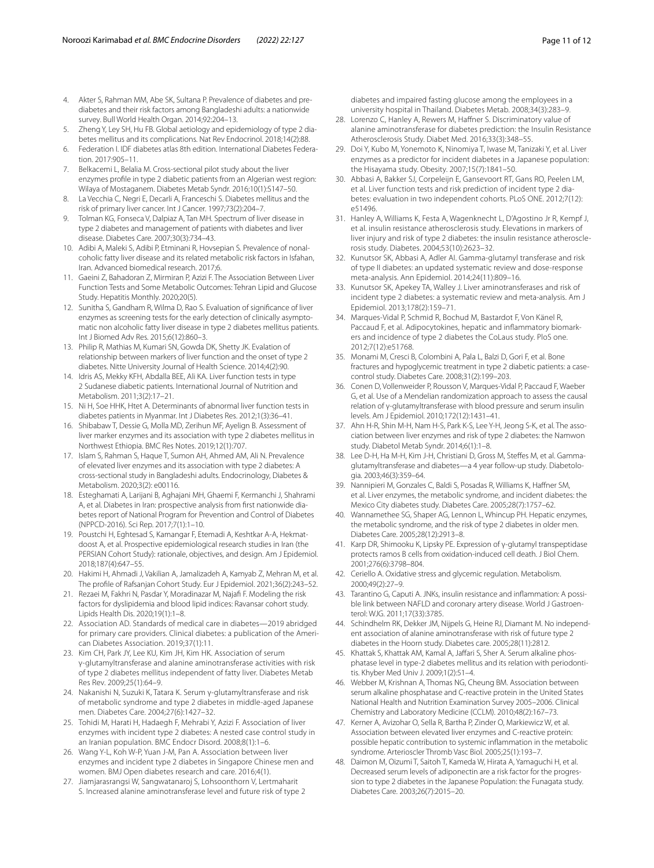- <span id="page-10-0"></span>4. Akter S, Rahman MM, Abe SK, Sultana P. Prevalence of diabetes and prediabetes and their risk factors among Bangladeshi adults: a nationwide survey. Bull World Health Organ. 2014;92:204–13.
- <span id="page-10-1"></span>5. Zheng Y, Ley SH, Hu FB. Global aetiology and epidemiology of type 2 diabetes mellitus and its complications. Nat Rev Endocrinol. 2018;14(2):88.
- <span id="page-10-2"></span>6. Federation I. IDF diabetes atlas 8th edition. International Diabetes Federation. 2017:905–11.
- <span id="page-10-3"></span>7. Belkacemi L, Belalia M. Cross-sectional pilot study about the liver enzymes profle in type 2 diabetic patients from an Algerian west region: Wilaya of Mostaganem. Diabetes Metab Syndr. 2016;10(1):S147–50.
- <span id="page-10-4"></span>8. La Vecchia C, Negri E, Decarli A, Franceschi S. Diabetes mellitus and the risk of primary liver cancer. Int J Cancer. 1997;73(2):204–7.
- <span id="page-10-5"></span>9. Tolman KG, Fonseca V, Dalpiaz A, Tan MH. Spectrum of liver disease in type 2 diabetes and management of patients with diabetes and liver disease. Diabetes Care. 2007;30(3):734–43.
- <span id="page-10-6"></span>10. Adibi A, Maleki S, Adibi P, Etminani R, Hovsepian S. Prevalence of nonalcoholic fatty liver disease and its related metabolic risk factors in Isfahan, Iran. Advanced biomedical research. 2017;6.
- <span id="page-10-7"></span>11. Gaeini Z, Bahadoran Z, Mirmiran P, Azizi F. The Association Between Liver Function Tests and Some Metabolic Outcomes: Tehran Lipid and Glucose Study. Hepatitis Monthly. 2020;20(5).
- <span id="page-10-8"></span>12. Sunitha S, Gandham R, Wilma D, Rao S. Evaluation of signifcance of liver enzymes as screening tests for the early detection of clinically asymptomatic non alcoholic fatty liver disease in type 2 diabetes mellitus patients. Int J Biomed Adv Res. 2015;6(12):860–3.
- <span id="page-10-9"></span>13. Philip R, Mathias M, Kumari SN, Gowda DK, Shetty JK. Evalation of relationship between markers of liver function and the onset of type 2 diabetes. Nitte University Journal of Health Science. 2014;4(2):90.
- <span id="page-10-10"></span>14. Idris AS, Mekky KFH, Abdalla BEE, Ali KA. Liver function tests in type 2 Sudanese diabetic patients. International Journal of Nutrition and Metabolism. 2011;3(2):17–21.
- <span id="page-10-11"></span>15. Ni H, Soe HHK, Htet A. Determinants of abnormal liver function tests in diabetes patients in Myanmar. Int J Diabetes Res. 2012;1(3):36–41.
- <span id="page-10-12"></span>16. Shibabaw T, Dessie G, Molla MD, Zerihun MF, Ayelign B. Assessment of liver marker enzymes and its association with type 2 diabetes mellitus in Northwest Ethiopia. BMC Res Notes. 2019;12(1):707.
- <span id="page-10-13"></span>17. Islam S, Rahman S, Haque T, Sumon AH, Ahmed AM, Ali N. Prevalence of elevated liver enzymes and its association with type 2 diabetes: A cross-sectional study in Bangladeshi adults. Endocrinology, Diabetes & Metabolism. 2020;3(2): e00116.
- <span id="page-10-14"></span>18. Esteghamati A, Larijani B, Aghajani MH, Ghaemi F, Kermanchi J, Shahrami A, et al. Diabetes in Iran: prospective analysis from first nationwide diabetes report of National Program for Prevention and Control of Diabetes (NPPCD-2016). Sci Rep. 2017;7(1):1–10.
- <span id="page-10-15"></span>19. Poustchi H, Eghtesad S, Kamangar F, Etemadi A, Keshtkar A-A, Hekmatdoost A, et al. Prospective epidemiological research studies in Iran (the PERSIAN Cohort Study): rationale, objectives, and design. Am J Epidemiol. 2018;187(4):647–55.
- <span id="page-10-16"></span>20. Hakimi H, Ahmadi J, Vakilian A, Jamalizadeh A, Kamyab Z, Mehran M, et al. The profle of Rafsanjan Cohort Study. Eur J Epidemiol. 2021;36(2):243–52.
- <span id="page-10-17"></span>21. Rezaei M, Fakhri N, Pasdar Y, Moradinazar M, Najaf F. Modeling the risk factors for dyslipidemia and blood lipid indices: Ravansar cohort study. Lipids Health Dis. 2020;19(1):1–8.
- <span id="page-10-18"></span>22. Association AD. Standards of medical care in diabetes—2019 abridged for primary care providers. Clinical diabetes: a publication of the American Diabetes Association. 2019;37(1):11.
- <span id="page-10-19"></span>23. Kim CH, Park JY, Lee KU, Kim JH, Kim HK. Association of serum γ-glutamyltransferase and alanine aminotransferase activities with risk of type 2 diabetes mellitus independent of fatty liver. Diabetes Metab Res Rev. 2009;25(1):64–9.
- <span id="page-10-20"></span>24. Nakanishi N, Suzuki K, Tatara K. Serum γ-glutamyltransferase and risk of metabolic syndrome and type 2 diabetes in middle-aged Japanese men. Diabetes Care. 2004;27(6):1427–32.
- <span id="page-10-21"></span>25. Tohidi M, Harati H, Hadaegh F, Mehrabi Y, Azizi F. Association of liver enzymes with incident type 2 diabetes: A nested case control study in an Iranian population. BMC Endocr Disord. 2008;8(1):1–6.
- <span id="page-10-22"></span>26. Wang Y-L, Koh W-P, Yuan J-M, Pan A. Association between liver enzymes and incident type 2 diabetes in Singapore Chinese men and women. BMJ Open diabetes research and care. 2016;4(1).
- <span id="page-10-23"></span>27. Jiamjarasrangsi W, Sangwatanaroj S, Lohsoonthorn V, Lertmaharit S. Increased alanine aminotransferase level and future risk of type 2

diabetes and impaired fasting glucose among the employees in a university hospital in Thailand. Diabetes Metab. 2008;34(3):283–9.

- <span id="page-10-24"></span>28. Lorenzo C, Hanley A, Rewers M, Haffner S. Discriminatory value of alanine aminotransferase for diabetes prediction: the Insulin Resistance Atherosclerosis Study. Diabet Med. 2016;33(3):348–55.
- <span id="page-10-25"></span>29. Doi Y, Kubo M, Yonemoto K, Ninomiya T, Iwase M, Tanizaki Y, et al. Liver enzymes as a predictor for incident diabetes in a Japanese population: the Hisayama study. Obesity. 2007;15(7):1841–50.
- <span id="page-10-26"></span>30. Abbasi A, Bakker SJ, Corpeleijn E, Gansevoort RT, Gans RO, Peelen LM, et al. Liver function tests and risk prediction of incident type 2 diabetes: evaluation in two independent cohorts. PLoS ONE. 2012;7(12): e51496.
- <span id="page-10-27"></span>31. Hanley A, Williams K, Festa A, Wagenknecht L, D'Agostino Jr R, Kempf J, et al. insulin resistance atherosclerosis study. Elevations in markers of liver injury and risk of type 2 diabetes: the insulin resistance atherosclerosis study. Diabetes. 2004;53(10):2623–32.
- <span id="page-10-28"></span>32. Kunutsor SK, Abbasi A, Adler AI. Gamma-glutamyl transferase and risk of type II diabetes: an updated systematic review and dose-response meta-analysis. Ann Epidemiol. 2014;24(11):809–16.
- <span id="page-10-29"></span>33. Kunutsor SK, Apekey TA, Walley J. Liver aminotransferases and risk of incident type 2 diabetes: a systematic review and meta-analysis. Am J Epidemiol. 2013;178(2):159–71.
- <span id="page-10-30"></span>34. Marques-Vidal P, Schmid R, Bochud M, Bastardot F, Von Känel R, Paccaud F, et al. Adipocytokines, hepatic and inflammatory biomarkers and incidence of type 2 diabetes the CoLaus study. PloS one. 2012;7(12):e51768.
- <span id="page-10-31"></span>35. Monami M, Cresci B, Colombini A, Pala L, Balzi D, Gori F, et al. Bone fractures and hypoglycemic treatment in type 2 diabetic patients: a casecontrol study. Diabetes Care. 2008;31(2):199–203.
- <span id="page-10-32"></span>36. Conen D, Vollenweider P, Rousson V, Marques-Vidal P, Paccaud F, Waeber G, et al. Use of a Mendelian randomization approach to assess the causal relation of γ-glutamyltransferase with blood pressure and serum insulin levels. Am J Epidemiol. 2010;172(12):1431–41.
- <span id="page-10-33"></span>37. Ahn H-R, Shin M-H, Nam H-S, Park K-S, Lee Y-H, Jeong S-K, et al. The association between liver enzymes and risk of type 2 diabetes: the Namwon study. Diabetol Metab Syndr. 2014;6(1):1–8.
- <span id="page-10-34"></span>38. Lee D-H, Ha M-H, Kim J-H, Christiani D, Gross M, Stefes M, et al. Gammaglutamyltransferase and diabetes-a 4 year follow-up study. Diabetologia. 2003;46(3):359–64.
- <span id="page-10-35"></span>39. Nannipieri M, Gonzales C, Baldi S, Posadas R, Williams K, Hafner SM, et al. Liver enzymes, the metabolic syndrome, and incident diabetes: the Mexico City diabetes study. Diabetes Care. 2005;28(7):1757–62.
- <span id="page-10-36"></span>40. Wannamethee SG, Shaper AG, Lennon L, Whincup PH. Hepatic enzymes, the metabolic syndrome, and the risk of type 2 diabetes in older men. Diabetes Care. 2005;28(12):2913–8.
- <span id="page-10-37"></span>41. Karp DR, Shimooku K, Lipsky PE. Expression of γ-glutamyl transpeptidase protects ramos B cells from oxidation-induced cell death. J Biol Chem. 2001;276(6):3798–804.
- <span id="page-10-38"></span>42. Ceriello A. Oxidative stress and glycemic regulation. Metabolism. 2000;49(2):27–9.
- <span id="page-10-39"></span>43. Tarantino G, Caputi A, JNKs, insulin resistance and inflammation: A possible link between NAFLD and coronary artery disease. World J Gastroenterol: WJG. 2011;17(33):3785.
- <span id="page-10-40"></span>44. Schindhelm RK, Dekker JM, Nijpels G, Heine RJ, Diamant M. No independent association of alanine aminotransferase with risk of future type 2 diabetes in the Hoorn study. Diabetes care. 2005;28(11):2812.
- <span id="page-10-41"></span>45. Khattak S, Khattak AM, Kamal A, Jaffari S, Sher A. Serum alkaline phosphatase level in type-2 diabetes mellitus and its relation with periodontitis. Khyber Med Univ J. 2009;1(2):51–4.
- <span id="page-10-42"></span>46. Webber M, Krishnan A, Thomas NG, Cheung BM. Association between serum alkaline phosphatase and C-reactive protein in the United States National Health and Nutrition Examination Survey 2005–2006. Clinical Chemistry and Laboratory Medicine (CCLM). 2010;48(2):167–73.
- <span id="page-10-43"></span>47. Kerner A, Avizohar O, Sella R, Bartha P, Zinder O, Markiewicz W, et al. Association between elevated liver enzymes and C-reactive protein: possible hepatic contribution to systemic infammation in the metabolic syndrome. Arterioscler Thromb Vasc Biol. 2005;25(1):193–7.
- <span id="page-10-44"></span>48. Daimon M, Oizumi T, Saitoh T, Kameda W, Hirata A, Yamaguchi H, et al. Decreased serum levels of adiponectin are a risk factor for the progression to type 2 diabetes in the Japanese Population: the Funagata study. Diabetes Care. 2003;26(7):2015–20.